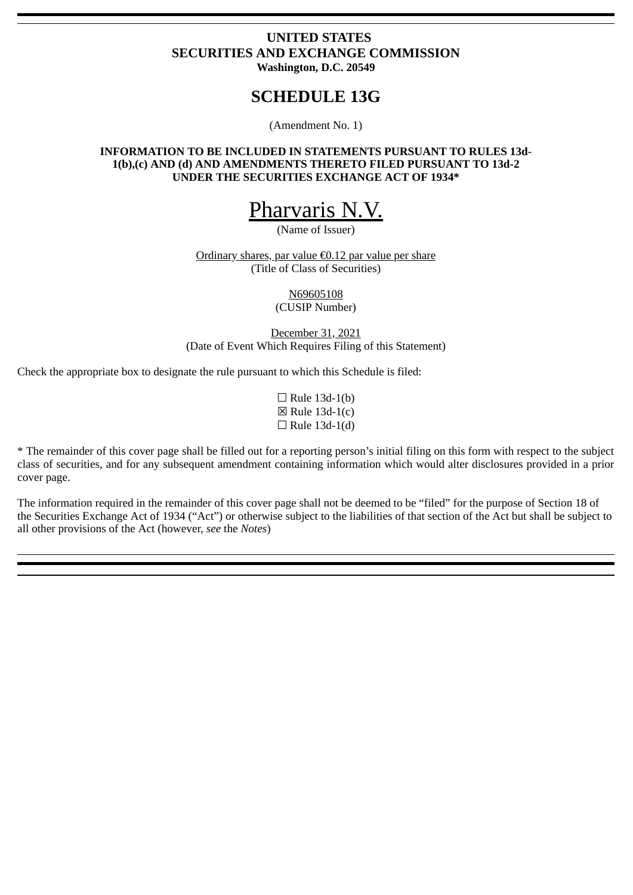## **UNITED STATES SECURITIES AND EXCHANGE COMMISSION Washington, D.C. 20549**

# **SCHEDULE 13G**

(Amendment No. 1)

### **INFORMATION TO BE INCLUDED IN STATEMENTS PURSUANT TO RULES 13d-1(b),(c) AND (d) AND AMENDMENTS THERETO FILED PURSUANT TO 13d-2 UNDER THE SECURITIES EXCHANGE ACT OF 1934\***

# Pharvaris N.V.

(Name of Issuer)

Ordinary shares, par value €0.12 par value per share (Title of Class of Securities)

> N69605108 (CUSIP Number)

December 31, 2021 (Date of Event Which Requires Filing of this Statement)

Check the appropriate box to designate the rule pursuant to which this Schedule is filed:

 $\Box$  Rule 13d-1(b)  $\boxtimes$  Rule 13d-1(c)  $\Box$  Rule 13d-1(d)

\* The remainder of this cover page shall be filled out for a reporting person's initial filing on this form with respect to the subject class of securities, and for any subsequent amendment containing information which would alter disclosures provided in a prior cover page.

The information required in the remainder of this cover page shall not be deemed to be "filed" for the purpose of Section 18 of the Securities Exchange Act of 1934 ("Act") or otherwise subject to the liabilities of that section of the Act but shall be subject to all other provisions of the Act (however, *see* the *Notes*)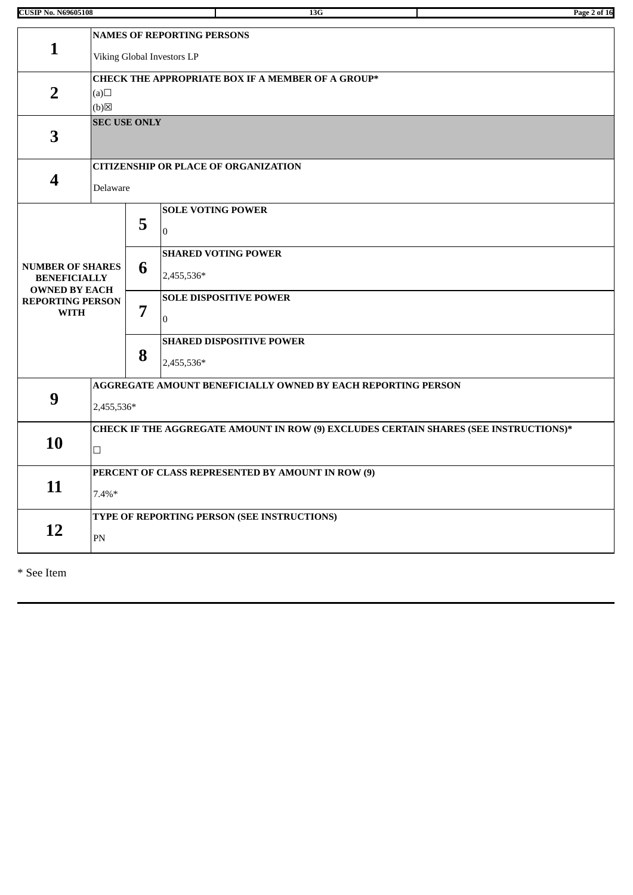| <b>CUSIP No. N69605108</b>                                             |                                                                                                |                                                                            | 13G                                             | Page 2 of 16 |  |  |  |  |
|------------------------------------------------------------------------|------------------------------------------------------------------------------------------------|----------------------------------------------------------------------------|-------------------------------------------------|--------------|--|--|--|--|
| $\mathbf{1}$                                                           |                                                                                                | <b>NAMES OF REPORTING PERSONS</b><br>Viking Global Investors LP            |                                                 |              |  |  |  |  |
| $\overline{2}$                                                         | (a)<br>$(b)$ $\boxtimes$                                                                       | CHECK THE APPROPRIATE BOX IF A MEMBER OF A GROUP*                          |                                                 |              |  |  |  |  |
| 3                                                                      | <b>SEC USE ONLY</b>                                                                            |                                                                            |                                                 |              |  |  |  |  |
| $\overline{\mathbf{4}}$                                                | Delaware                                                                                       |                                                                            | <b>CITIZENSHIP OR PLACE OF ORGANIZATION</b>     |              |  |  |  |  |
|                                                                        |                                                                                                | 5                                                                          | <b>SOLE VOTING POWER</b><br>$\overline{0}$      |              |  |  |  |  |
| <b>NUMBER OF SHARES</b><br><b>BENEFICIALLY</b><br><b>OWNED BY EACH</b> |                                                                                                | <b>SHARED VOTING POWER</b><br>6<br>2,455,536*                              |                                                 |              |  |  |  |  |
| <b>REPORTING PERSON</b><br><b>WITH</b>                                 |                                                                                                | 7                                                                          | <b>SOLE DISPOSITIVE POWER</b><br>$\overline{0}$ |              |  |  |  |  |
|                                                                        |                                                                                                | 8                                                                          | <b>SHARED DISPOSITIVE POWER</b><br>2,455,536*   |              |  |  |  |  |
| 9                                                                      |                                                                                                | AGGREGATE AMOUNT BENEFICIALLY OWNED BY EACH REPORTING PERSON<br>2,455,536* |                                                 |              |  |  |  |  |
| 10                                                                     | CHECK IF THE AGGREGATE AMOUNT IN ROW (9) EXCLUDES CERTAIN SHARES (SEE INSTRUCTIONS)*<br>$\Box$ |                                                                            |                                                 |              |  |  |  |  |
| 11                                                                     | $7.4\%*$                                                                                       | PERCENT OF CLASS REPRESENTED BY AMOUNT IN ROW (9)                          |                                                 |              |  |  |  |  |
| 12                                                                     | $\mathbf{PN}$                                                                                  | TYPE OF REPORTING PERSON (SEE INSTRUCTIONS)                                |                                                 |              |  |  |  |  |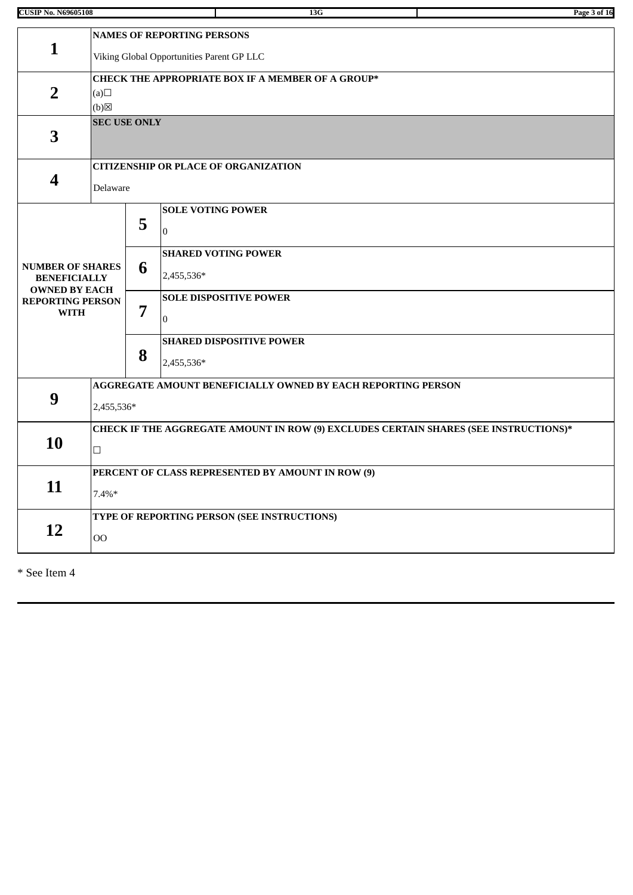|  | <b>CUSIP No. N69605108</b> |
|--|----------------------------|

| <b>CUSIP No. N69605108</b>                                             |                     |                                                                                      | 13G                                                          | Page 3 of 16 |  |  |  |  |  |
|------------------------------------------------------------------------|---------------------|--------------------------------------------------------------------------------------|--------------------------------------------------------------|--------------|--|--|--|--|--|
|                                                                        |                     |                                                                                      | <b>NAMES OF REPORTING PERSONS</b>                            |              |  |  |  |  |  |
| $\mathbf{1}$                                                           |                     | Viking Global Opportunities Parent GP LLC                                            |                                                              |              |  |  |  |  |  |
| $\overline{2}$                                                         | (a)<br>(b)          | CHECK THE APPROPRIATE BOX IF A MEMBER OF A GROUP*                                    |                                                              |              |  |  |  |  |  |
| 3                                                                      | <b>SEC USE ONLY</b> |                                                                                      |                                                              |              |  |  |  |  |  |
|                                                                        |                     |                                                                                      | <b>CITIZENSHIP OR PLACE OF ORGANIZATION</b>                  |              |  |  |  |  |  |
| $\overline{\mathbf{4}}$                                                | Delaware            |                                                                                      |                                                              |              |  |  |  |  |  |
|                                                                        |                     | 5                                                                                    | <b>SOLE VOTING POWER</b><br>$\bf{0}$                         |              |  |  |  |  |  |
| <b>NUMBER OF SHARES</b><br><b>BENEFICIALLY</b><br><b>OWNED BY EACH</b> |                     | 6                                                                                    | <b>SHARED VOTING POWER</b><br>2,455,536*                     |              |  |  |  |  |  |
| <b>REPORTING PERSON</b><br><b>WITH</b>                                 |                     | 7                                                                                    | <b>SOLE DISPOSITIVE POWER</b><br>$\mathbf{0}$                |              |  |  |  |  |  |
|                                                                        |                     | 8                                                                                    | <b>SHARED DISPOSITIVE POWER</b><br>2,455,536*                |              |  |  |  |  |  |
|                                                                        |                     |                                                                                      | AGGREGATE AMOUNT BENEFICIALLY OWNED BY EACH REPORTING PERSON |              |  |  |  |  |  |
| 9                                                                      |                     | 2,455,536*                                                                           |                                                              |              |  |  |  |  |  |
|                                                                        |                     | CHECK IF THE AGGREGATE AMOUNT IN ROW (9) EXCLUDES CERTAIN SHARES (SEE INSTRUCTIONS)* |                                                              |              |  |  |  |  |  |
| 10                                                                     | $\Box$              |                                                                                      |                                                              |              |  |  |  |  |  |
|                                                                        |                     |                                                                                      | PERCENT OF CLASS REPRESENTED BY AMOUNT IN ROW (9)            |              |  |  |  |  |  |
| 11                                                                     | $7.4\%*$            |                                                                                      |                                                              |              |  |  |  |  |  |
|                                                                        |                     |                                                                                      | TYPE OF REPORTING PERSON (SEE INSTRUCTIONS)                  |              |  |  |  |  |  |
| 12                                                                     | <b>OO</b>           |                                                                                      |                                                              |              |  |  |  |  |  |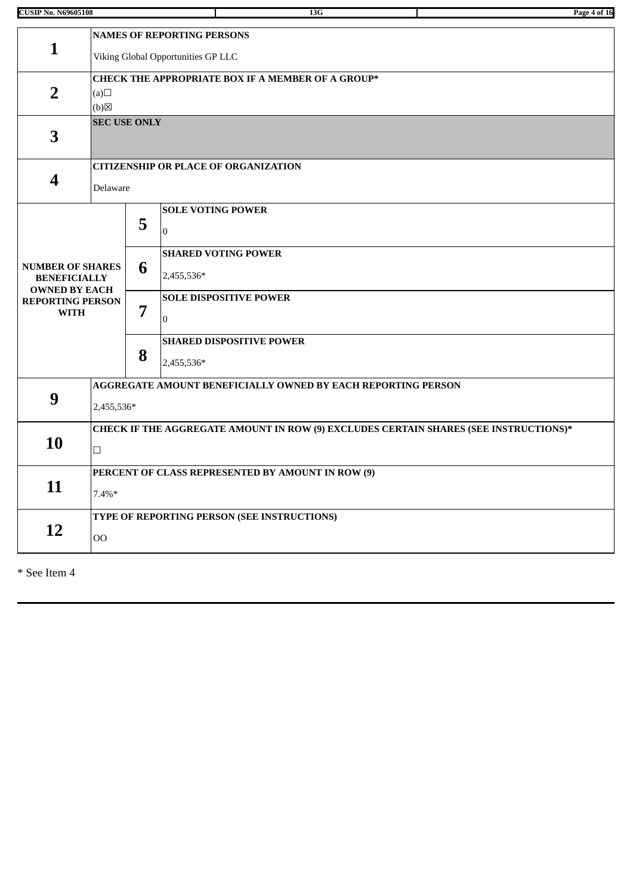| <b>CUSIP No. N69605108</b>                  |                                             |                                                          |                                   | 13G                                                                                  | Page 4 of 16 |  |  |  |  |
|---------------------------------------------|---------------------------------------------|----------------------------------------------------------|-----------------------------------|--------------------------------------------------------------------------------------|--------------|--|--|--|--|
|                                             |                                             |                                                          | <b>NAMES OF REPORTING PERSONS</b> |                                                                                      |              |  |  |  |  |
| $\mathbf{1}$                                |                                             |                                                          |                                   |                                                                                      |              |  |  |  |  |
|                                             |                                             | Viking Global Opportunities GP LLC                       |                                   |                                                                                      |              |  |  |  |  |
|                                             |                                             | <b>CHECK THE APPROPRIATE BOX IF A MEMBER OF A GROUP*</b> |                                   |                                                                                      |              |  |  |  |  |
| $\overline{2}$                              | (a)                                         |                                                          |                                   |                                                                                      |              |  |  |  |  |
|                                             | $(b)$ $\boxtimes$<br><b>SEC USE ONLY</b>    |                                                          |                                   |                                                                                      |              |  |  |  |  |
| 3                                           |                                             |                                                          |                                   |                                                                                      |              |  |  |  |  |
|                                             |                                             |                                                          |                                   |                                                                                      |              |  |  |  |  |
| $\overline{\mathbf{4}}$                     |                                             |                                                          |                                   | <b>CITIZENSHIP OR PLACE OF ORGANIZATION</b>                                          |              |  |  |  |  |
|                                             | Delaware                                    |                                                          |                                   |                                                                                      |              |  |  |  |  |
|                                             |                                             |                                                          | <b>SOLE VOTING POWER</b>          |                                                                                      |              |  |  |  |  |
|                                             |                                             | 5                                                        | $\mathbf{0}$                      |                                                                                      |              |  |  |  |  |
|                                             |                                             |                                                          |                                   | <b>SHARED VOTING POWER</b>                                                           |              |  |  |  |  |
| <b>NUMBER OF SHARES</b>                     |                                             | 6                                                        | 2,455,536*                        |                                                                                      |              |  |  |  |  |
| <b>BENEFICIALLY</b><br><b>OWNED BY EACH</b> |                                             |                                                          |                                   |                                                                                      |              |  |  |  |  |
| <b>REPORTING PERSON</b>                     |                                             | 7                                                        |                                   | <b>SOLE DISPOSITIVE POWER</b>                                                        |              |  |  |  |  |
| <b>WITH</b>                                 |                                             |                                                          | $\Omega$                          |                                                                                      |              |  |  |  |  |
|                                             |                                             |                                                          |                                   | <b>SHARED DISPOSITIVE POWER</b>                                                      |              |  |  |  |  |
|                                             |                                             | 8                                                        | 2,455,536*                        |                                                                                      |              |  |  |  |  |
|                                             |                                             |                                                          |                                   | AGGREGATE AMOUNT BENEFICIALLY OWNED BY EACH REPORTING PERSON                         |              |  |  |  |  |
| 9                                           |                                             |                                                          |                                   |                                                                                      |              |  |  |  |  |
|                                             |                                             | 2,455,536*                                               |                                   |                                                                                      |              |  |  |  |  |
| 10                                          |                                             |                                                          |                                   | CHECK IF THE AGGREGATE AMOUNT IN ROW (9) EXCLUDES CERTAIN SHARES (SEE INSTRUCTIONS)* |              |  |  |  |  |
|                                             | $\Box$                                      |                                                          |                                   |                                                                                      |              |  |  |  |  |
|                                             |                                             |                                                          |                                   | PERCENT OF CLASS REPRESENTED BY AMOUNT IN ROW (9)                                    |              |  |  |  |  |
| 11                                          | $7.4\%*$                                    |                                                          |                                   |                                                                                      |              |  |  |  |  |
|                                             |                                             |                                                          |                                   |                                                                                      |              |  |  |  |  |
|                                             | TYPE OF REPORTING PERSON (SEE INSTRUCTIONS) |                                                          |                                   |                                                                                      |              |  |  |  |  |

**12**

OO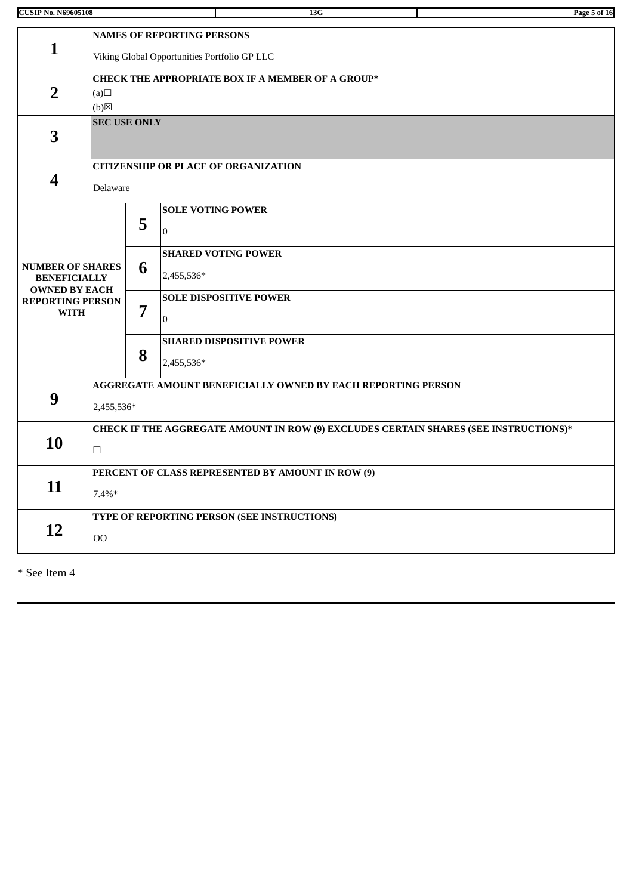| <b>CUSIP No. N69605108</b>                                             |                     |                                                          | 13G                                                                                  | Page 5 of 16 |  |  |  |  |
|------------------------------------------------------------------------|---------------------|----------------------------------------------------------|--------------------------------------------------------------------------------------|--------------|--|--|--|--|
|                                                                        |                     |                                                          | <b>NAMES OF REPORTING PERSONS</b>                                                    |              |  |  |  |  |
| $\mathbf{1}$                                                           |                     |                                                          | Viking Global Opportunities Portfolio GP LLC                                         |              |  |  |  |  |
| $\overline{2}$                                                         | (a)<br>(b)          | <b>CHECK THE APPROPRIATE BOX IF A MEMBER OF A GROUP*</b> |                                                                                      |              |  |  |  |  |
| 3                                                                      | <b>SEC USE ONLY</b> |                                                          |                                                                                      |              |  |  |  |  |
|                                                                        |                     |                                                          | <b>CITIZENSHIP OR PLACE OF ORGANIZATION</b>                                          |              |  |  |  |  |
| 4                                                                      | Delaware            |                                                          |                                                                                      |              |  |  |  |  |
|                                                                        |                     |                                                          | <b>SOLE VOTING POWER</b>                                                             |              |  |  |  |  |
|                                                                        |                     | 5                                                        | $\mathbf{0}$                                                                         |              |  |  |  |  |
|                                                                        |                     |                                                          | <b>SHARED VOTING POWER</b>                                                           |              |  |  |  |  |
| <b>NUMBER OF SHARES</b><br><b>BENEFICIALLY</b><br><b>OWNED BY EACH</b> |                     | 6                                                        | 2,455,536*                                                                           |              |  |  |  |  |
| <b>REPORTING PERSON</b>                                                |                     |                                                          | <b>SOLE DISPOSITIVE POWER</b>                                                        |              |  |  |  |  |
| <b>WITH</b>                                                            |                     | 7                                                        | $\mathbf{0}$                                                                         |              |  |  |  |  |
|                                                                        |                     |                                                          | <b>SHARED DISPOSITIVE POWER</b>                                                      |              |  |  |  |  |
|                                                                        |                     | 8                                                        | 2,455,536*                                                                           |              |  |  |  |  |
|                                                                        |                     |                                                          | AGGREGATE AMOUNT BENEFICIALLY OWNED BY EACH REPORTING PERSON                         |              |  |  |  |  |
| 9                                                                      | 2,455,536*          |                                                          |                                                                                      |              |  |  |  |  |
|                                                                        |                     |                                                          | CHECK IF THE AGGREGATE AMOUNT IN ROW (9) EXCLUDES CERTAIN SHARES (SEE INSTRUCTIONS)* |              |  |  |  |  |
| 10                                                                     | $\Box$              |                                                          |                                                                                      |              |  |  |  |  |
|                                                                        |                     |                                                          | PERCENT OF CLASS REPRESENTED BY AMOUNT IN ROW (9)                                    |              |  |  |  |  |
| 11                                                                     | $7.4\%*$            |                                                          |                                                                                      |              |  |  |  |  |
|                                                                        |                     |                                                          | TYPE OF REPORTING PERSON (SEE INSTRUCTIONS)                                          |              |  |  |  |  |
| 12                                                                     | O <sub>O</sub>      |                                                          |                                                                                      |              |  |  |  |  |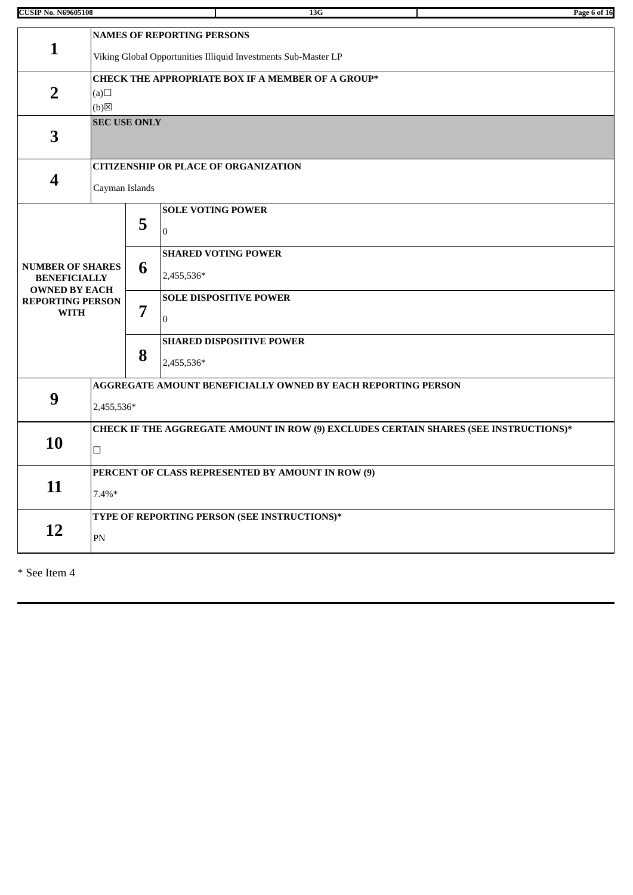| <b>CUSIP No. N69605108</b>                                             |                |                                                                                      |                                   | 13G                                                            | Page 6 of 16 |  |  |  |  |
|------------------------------------------------------------------------|----------------|--------------------------------------------------------------------------------------|-----------------------------------|----------------------------------------------------------------|--------------|--|--|--|--|
| $\mathbf{1}$                                                           |                |                                                                                      | <b>NAMES OF REPORTING PERSONS</b> |                                                                |              |  |  |  |  |
|                                                                        |                |                                                                                      |                                   | Viking Global Opportunities Illiquid Investments Sub-Master LP |              |  |  |  |  |
| $\overline{2}$                                                         | (a)<br>(b)     | <b>CHECK THE APPROPRIATE BOX IF A MEMBER OF A GROUP*</b>                             |                                   |                                                                |              |  |  |  |  |
| 3                                                                      |                | <b>SEC USE ONLY</b>                                                                  |                                   |                                                                |              |  |  |  |  |
|                                                                        |                |                                                                                      |                                   | <b>CITIZENSHIP OR PLACE OF ORGANIZATION</b>                    |              |  |  |  |  |
| 4                                                                      | Cayman Islands |                                                                                      |                                   |                                                                |              |  |  |  |  |
|                                                                        |                | 5                                                                                    | $\mathbf{0}$                      | <b>SOLE VOTING POWER</b>                                       |              |  |  |  |  |
| <b>NUMBER OF SHARES</b><br><b>BENEFICIALLY</b><br><b>OWNED BY EACH</b> |                | 6                                                                                    | 2,455,536*                        | <b>SHARED VOTING POWER</b>                                     |              |  |  |  |  |
| <b>REPORTING PERSON</b><br><b>WITH</b>                                 |                | 7                                                                                    | $\mathbf{0}$                      | <b>SOLE DISPOSITIVE POWER</b>                                  |              |  |  |  |  |
|                                                                        |                | 8                                                                                    | 2,455,536*                        | <b>SHARED DISPOSITIVE POWER</b>                                |              |  |  |  |  |
|                                                                        |                |                                                                                      |                                   | AGGREGATE AMOUNT BENEFICIALLY OWNED BY EACH REPORTING PERSON   |              |  |  |  |  |
| 9                                                                      | 2,455,536*     |                                                                                      |                                   |                                                                |              |  |  |  |  |
|                                                                        |                | CHECK IF THE AGGREGATE AMOUNT IN ROW (9) EXCLUDES CERTAIN SHARES (SEE INSTRUCTIONS)* |                                   |                                                                |              |  |  |  |  |
| 10<br>$\Box$                                                           |                |                                                                                      |                                   |                                                                |              |  |  |  |  |
|                                                                        |                |                                                                                      |                                   | PERCENT OF CLASS REPRESENTED BY AMOUNT IN ROW (9)              |              |  |  |  |  |
| 11                                                                     | $7.4\%*$       |                                                                                      |                                   |                                                                |              |  |  |  |  |
|                                                                        |                |                                                                                      |                                   | TYPE OF REPORTING PERSON (SEE INSTRUCTIONS)*                   |              |  |  |  |  |
| 12                                                                     | PN             |                                                                                      |                                   |                                                                |              |  |  |  |  |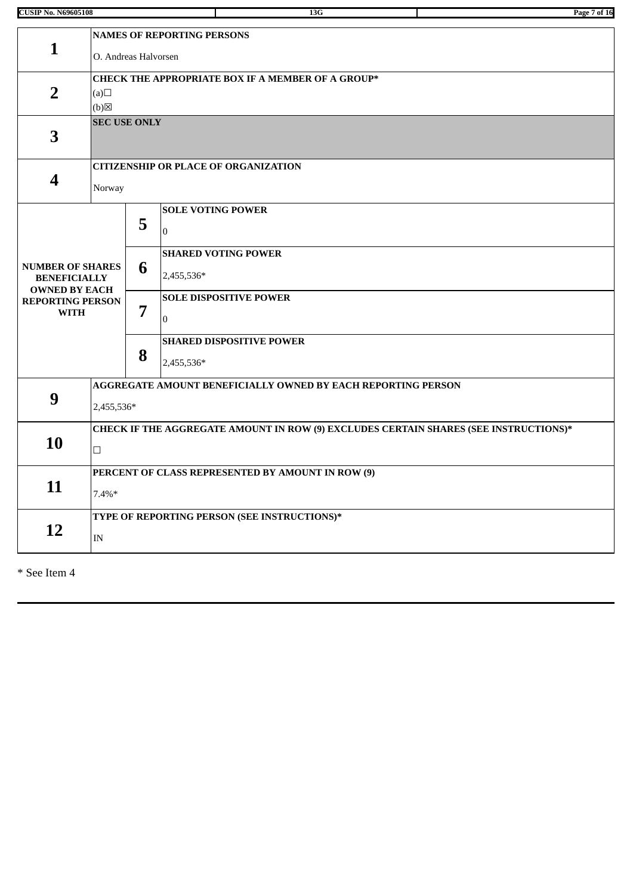| <b>CUSIP No. N69605108</b>                                             |                                                                                                |                                                                            |                                                 | 13G | Page 7 of 16 |  |  |  |
|------------------------------------------------------------------------|------------------------------------------------------------------------------------------------|----------------------------------------------------------------------------|-------------------------------------------------|-----|--------------|--|--|--|
| $\mathbf{1}$                                                           |                                                                                                | <b>NAMES OF REPORTING PERSONS</b><br>O. Andreas Halvorsen                  |                                                 |     |              |  |  |  |
| $\overline{2}$                                                         | (a)<br>$(b)$ $\boxtimes$                                                                       | CHECK THE APPROPRIATE BOX IF A MEMBER OF A GROUP*                          |                                                 |     |              |  |  |  |
| 3                                                                      | <b>SEC USE ONLY</b>                                                                            |                                                                            |                                                 |     |              |  |  |  |
| $\overline{\mathbf{4}}$                                                | Norway                                                                                         |                                                                            | <b>CITIZENSHIP OR PLACE OF ORGANIZATION</b>     |     |              |  |  |  |
|                                                                        |                                                                                                | 5                                                                          | <b>SOLE VOTING POWER</b><br>$\overline{0}$      |     |              |  |  |  |
| <b>NUMBER OF SHARES</b><br><b>BENEFICIALLY</b><br><b>OWNED BY EACH</b> |                                                                                                | <b>SHARED VOTING POWER</b><br>6<br>2,455,536*                              |                                                 |     |              |  |  |  |
| <b>REPORTING PERSON</b><br><b>WITH</b>                                 |                                                                                                | 7                                                                          | <b>SOLE DISPOSITIVE POWER</b><br>$\overline{0}$ |     |              |  |  |  |
|                                                                        |                                                                                                | 8                                                                          | <b>SHARED DISPOSITIVE POWER</b><br>2,455,536*   |     |              |  |  |  |
| 9                                                                      |                                                                                                | AGGREGATE AMOUNT BENEFICIALLY OWNED BY EACH REPORTING PERSON<br>2,455,536* |                                                 |     |              |  |  |  |
| 10                                                                     | CHECK IF THE AGGREGATE AMOUNT IN ROW (9) EXCLUDES CERTAIN SHARES (SEE INSTRUCTIONS)*<br>$\Box$ |                                                                            |                                                 |     |              |  |  |  |
| 11                                                                     | $7.4\%*$                                                                                       | PERCENT OF CLASS REPRESENTED BY AMOUNT IN ROW (9)                          |                                                 |     |              |  |  |  |
| 12                                                                     | IN                                                                                             |                                                                            | TYPE OF REPORTING PERSON (SEE INSTRUCTIONS)*    |     |              |  |  |  |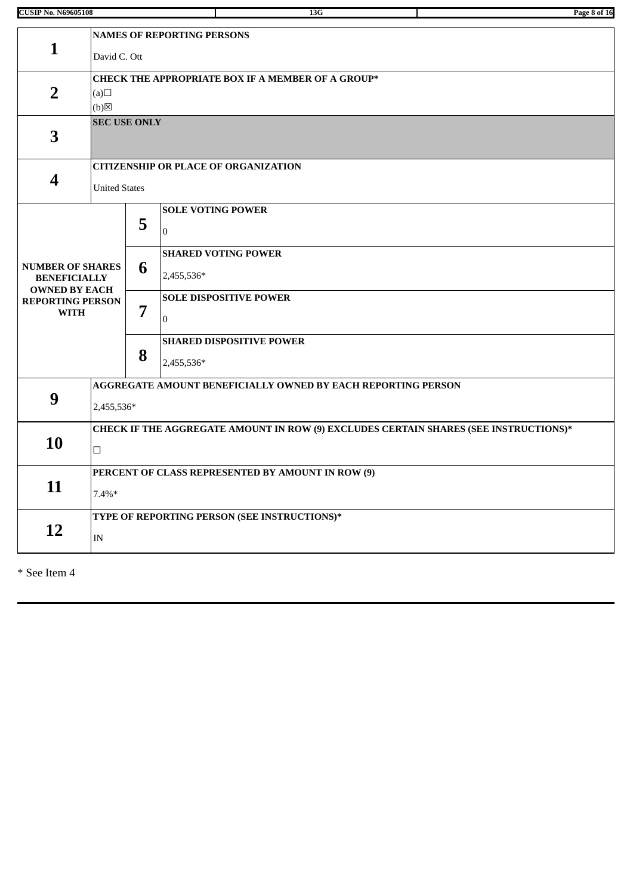| <b>CUSIP No. N69605108</b>                                             |                                                                                                |                                                          |                                                 | 13G                                               |  | Page 8 of 16 |  |  |
|------------------------------------------------------------------------|------------------------------------------------------------------------------------------------|----------------------------------------------------------|-------------------------------------------------|---------------------------------------------------|--|--------------|--|--|
| $\mathbf{1}$                                                           |                                                                                                | <b>NAMES OF REPORTING PERSONS</b><br>David C. Ott        |                                                 |                                                   |  |              |  |  |
| $\overline{2}$                                                         | (a)<br>(b)<br><b>SEC USE ONLY</b>                                                              | <b>CHECK THE APPROPRIATE BOX IF A MEMBER OF A GROUP*</b> |                                                 |                                                   |  |              |  |  |
| 3                                                                      |                                                                                                |                                                          |                                                 |                                                   |  |              |  |  |
| 4                                                                      | <b>United States</b>                                                                           |                                                          | <b>CITIZENSHIP OR PLACE OF ORGANIZATION</b>     |                                                   |  |              |  |  |
|                                                                        |                                                                                                | 5                                                        | <b>SOLE VOTING POWER</b><br>$\overline{0}$      |                                                   |  |              |  |  |
| <b>NUMBER OF SHARES</b><br><b>BENEFICIALLY</b><br><b>OWNED BY EACH</b> |                                                                                                | 6                                                        | <b>SHARED VOTING POWER</b><br>2,455,536*        |                                                   |  |              |  |  |
| <b>REPORTING PERSON</b><br><b>WITH</b>                                 |                                                                                                | 7                                                        | <b>SOLE DISPOSITIVE POWER</b><br>$\overline{0}$ |                                                   |  |              |  |  |
|                                                                        |                                                                                                | 8                                                        | <b>SHARED DISPOSITIVE POWER</b><br>2,455,536*   |                                                   |  |              |  |  |
| 9                                                                      | AGGREGATE AMOUNT BENEFICIALLY OWNED BY EACH REPORTING PERSON<br>2,455,536*                     |                                                          |                                                 |                                                   |  |              |  |  |
| 10                                                                     | CHECK IF THE AGGREGATE AMOUNT IN ROW (9) EXCLUDES CERTAIN SHARES (SEE INSTRUCTIONS)*<br>$\Box$ |                                                          |                                                 |                                                   |  |              |  |  |
| 11                                                                     | $7.4\%*$                                                                                       |                                                          |                                                 | PERCENT OF CLASS REPRESENTED BY AMOUNT IN ROW (9) |  |              |  |  |
| 12                                                                     | IN                                                                                             |                                                          |                                                 | TYPE OF REPORTING PERSON (SEE INSTRUCTIONS)*      |  |              |  |  |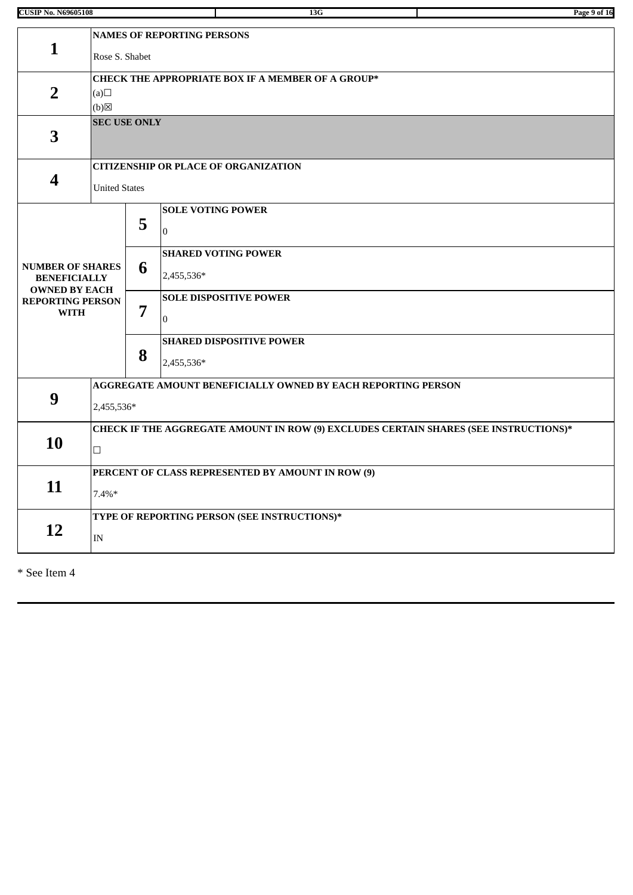| <b>CUSIP No. N69605108</b>                                             |                                                                                                |                                                                            | 13G                                             | Page 9 of 16 |  |  |  |  |
|------------------------------------------------------------------------|------------------------------------------------------------------------------------------------|----------------------------------------------------------------------------|-------------------------------------------------|--------------|--|--|--|--|
| $\mathbf{1}$                                                           |                                                                                                | <b>NAMES OF REPORTING PERSONS</b><br>Rose S. Shabet                        |                                                 |              |  |  |  |  |
| $\overline{2}$                                                         | (a)<br>$(b)$ $\boxtimes$                                                                       | <b>CHECK THE APPROPRIATE BOX IF A MEMBER OF A GROUP*</b>                   |                                                 |              |  |  |  |  |
| 3                                                                      | <b>SEC USE ONLY</b>                                                                            |                                                                            |                                                 |              |  |  |  |  |
| $\overline{\mathbf{4}}$                                                | <b>United States</b>                                                                           |                                                                            | <b>CITIZENSHIP OR PLACE OF ORGANIZATION</b>     |              |  |  |  |  |
|                                                                        |                                                                                                | 5                                                                          | <b>SOLE VOTING POWER</b><br>$\overline{0}$      |              |  |  |  |  |
| <b>NUMBER OF SHARES</b><br><b>BENEFICIALLY</b><br><b>OWNED BY EACH</b> |                                                                                                | <b>SHARED VOTING POWER</b><br>6<br>2,455,536*                              |                                                 |              |  |  |  |  |
| <b>REPORTING PERSON</b><br><b>WITH</b>                                 |                                                                                                | 7                                                                          | <b>SOLE DISPOSITIVE POWER</b><br>$\overline{0}$ |              |  |  |  |  |
|                                                                        |                                                                                                | 8                                                                          | <b>SHARED DISPOSITIVE POWER</b><br>2,455,536*   |              |  |  |  |  |
| 9                                                                      |                                                                                                | AGGREGATE AMOUNT BENEFICIALLY OWNED BY EACH REPORTING PERSON<br>2,455,536* |                                                 |              |  |  |  |  |
| 10                                                                     | CHECK IF THE AGGREGATE AMOUNT IN ROW (9) EXCLUDES CERTAIN SHARES (SEE INSTRUCTIONS)*<br>$\Box$ |                                                                            |                                                 |              |  |  |  |  |
| 11                                                                     | $7.4\%*$                                                                                       | PERCENT OF CLASS REPRESENTED BY AMOUNT IN ROW (9)                          |                                                 |              |  |  |  |  |
| 12                                                                     | IN                                                                                             |                                                                            | TYPE OF REPORTING PERSON (SEE INSTRUCTIONS)*    |              |  |  |  |  |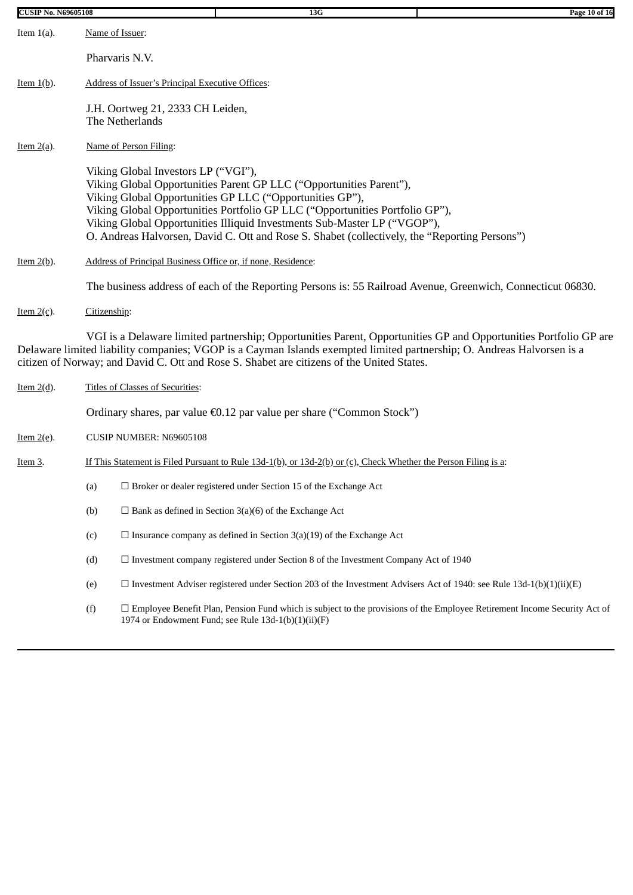| <b>CUSIP No. N69605108</b>      |                                                              | 13G                                                                                                                                                                                                                                                                                                                                                                                          | Page 10 of 16 |  |  |  |  |  |  |  |
|---------------------------------|--------------------------------------------------------------|----------------------------------------------------------------------------------------------------------------------------------------------------------------------------------------------------------------------------------------------------------------------------------------------------------------------------------------------------------------------------------------------|---------------|--|--|--|--|--|--|--|
| Item $1(a)$ .                   | Name of Issuer:                                              |                                                                                                                                                                                                                                                                                                                                                                                              |               |  |  |  |  |  |  |  |
|                                 | Pharvaris N.V.                                               |                                                                                                                                                                                                                                                                                                                                                                                              |               |  |  |  |  |  |  |  |
| Item $1(b)$ .                   | Address of Issuer's Principal Executive Offices:             |                                                                                                                                                                                                                                                                                                                                                                                              |               |  |  |  |  |  |  |  |
|                                 | J.H. Oortweg 21, 2333 CH Leiden,<br>The Netherlands          |                                                                                                                                                                                                                                                                                                                                                                                              |               |  |  |  |  |  |  |  |
| <u>Item <math>2(a)</math></u> . | Name of Person Filing:                                       |                                                                                                                                                                                                                                                                                                                                                                                              |               |  |  |  |  |  |  |  |
|                                 | Viking Global Investors LP ("VGI"),                          | Viking Global Opportunities Parent GP LLC ("Opportunities Parent"),<br>Viking Global Opportunities GP LLC ("Opportunities GP"),<br>Viking Global Opportunities Portfolio GP LLC ("Opportunities Portfolio GP"),<br>Viking Global Opportunities Illiquid Investments Sub-Master LP ("VGOP"),<br>O. Andreas Halvorsen, David C. Ott and Rose S. Shabet (collectively, the "Reporting Persons") |               |  |  |  |  |  |  |  |
| Item $2(b)$ .                   | Address of Principal Business Office or, if none, Residence: |                                                                                                                                                                                                                                                                                                                                                                                              |               |  |  |  |  |  |  |  |
|                                 |                                                              | The business address of each of the Reporting Persons is: 55 Railroad Avenue, Greenwich, Connecticut 06830.                                                                                                                                                                                                                                                                                  |               |  |  |  |  |  |  |  |
| <u>Item <math>2(c)</math>.</u>  | Citizenship:                                                 |                                                                                                                                                                                                                                                                                                                                                                                              |               |  |  |  |  |  |  |  |
|                                 |                                                              | VGI is a Delaware limited partnership; Opportunities Parent, Opportunities GP and Opportunities Portfolio GP are<br>Delaware limited liability companies; VGOP is a Cayman Islands exempted limited partnership; O. Andreas Halvorsen is a<br>citizen of Norway; and David C. Ott and Rose S. Shabet are citizens of the United States.                                                      |               |  |  |  |  |  |  |  |
| Item $2(d)$ .                   | <b>Titles of Classes of Securities:</b>                      |                                                                                                                                                                                                                                                                                                                                                                                              |               |  |  |  |  |  |  |  |
|                                 |                                                              | Ordinary shares, par value €0.12 par value per share ("Common Stock")                                                                                                                                                                                                                                                                                                                        |               |  |  |  |  |  |  |  |
| <u>Item <math>2(e)</math>.</u>  | CUSIP NUMBER: N69605108                                      |                                                                                                                                                                                                                                                                                                                                                                                              |               |  |  |  |  |  |  |  |
| Item 3.                         |                                                              | If This Statement is Filed Pursuant to Rule $13d-1(b)$ , or $13d-2(b)$ or $(c)$ , Check Whether the Person Filing is a:                                                                                                                                                                                                                                                                      |               |  |  |  |  |  |  |  |
|                                 | (a)                                                          | $\Box$ Broker or dealer registered under Section 15 of the Exchange Act                                                                                                                                                                                                                                                                                                                      |               |  |  |  |  |  |  |  |
|                                 | (b)                                                          | $\Box$ Bank as defined in Section 3(a)(6) of the Exchange Act                                                                                                                                                                                                                                                                                                                                |               |  |  |  |  |  |  |  |
|                                 | (c)                                                          | $\Box$ Insurance company as defined in Section 3(a)(19) of the Exchange Act                                                                                                                                                                                                                                                                                                                  |               |  |  |  |  |  |  |  |
|                                 | (d)                                                          | $\Box$ Investment company registered under Section 8 of the Investment Company Act of 1940                                                                                                                                                                                                                                                                                                   |               |  |  |  |  |  |  |  |
|                                 | (e)                                                          | $\Box$ Investment Adviser registered under Section 203 of the Investment Advisers Act of 1940: see Rule 13d-1(b)(1)(ii)(E)                                                                                                                                                                                                                                                                   |               |  |  |  |  |  |  |  |
|                                 | (f)                                                          | $\Box$ Employee Benefit Plan, Pension Fund which is subject to the provisions of the Employee Retirement Income Security Act of<br>1974 or Endowment Fund; see Rule 13d-1(b)(1)(ii)(F)                                                                                                                                                                                                       |               |  |  |  |  |  |  |  |
|                                 |                                                              |                                                                                                                                                                                                                                                                                                                                                                                              |               |  |  |  |  |  |  |  |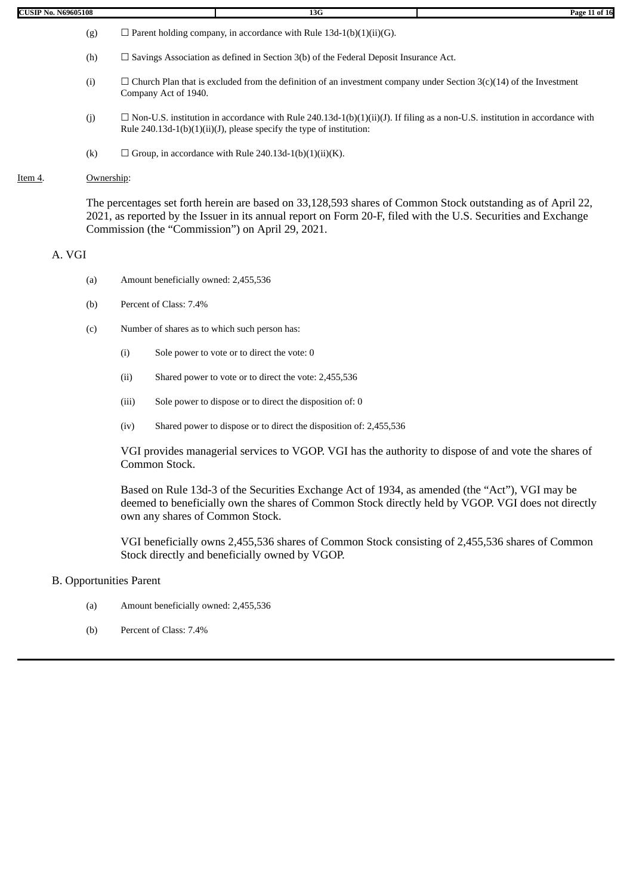| CUSIP<br>N69605108<br>. | 200<br>15 U | Pag.<br>ıы.<br>0T<br>-- |
|-------------------------|-------------|-------------------------|

- (g)  $\Box$  Parent holding company, in accordance with Rule 13d-1(b)(1)(ii)(G).
	- (h)  $\Box$  Savings Association as defined in Section 3(b) of the Federal Deposit Insurance Act.
	- (i)  $\Box$  Church Plan that is excluded from the definition of an investment company under Section 3(c)(14) of the Investment Company Act of 1940.
	- (j)  $\Box$  Non-U.S. institution in accordance with Rule 240.13d-1(b)(1)(ii)(J). If filing as a non-U.S. institution in accordance with Rule 240.13d-1(b)(1)(ii)(J), please specify the type of institution:
	- (k)  $\Box$  Group, in accordance with Rule 240.13d-1(b)(1)(ii)(K).

## Item 4. Ownership:

The percentages set forth herein are based on 33,128,593 shares of Common Stock outstanding as of April 22, 2021, as reported by the Issuer in its annual report on Form 20-F, filed with the U.S. Securities and Exchange Commission (the "Commission") on April 29, 2021.

## A. VGI

- (a) Amount beneficially owned: 2,455,536
- (b) Percent of Class: 7.4%
- (c) Number of shares as to which such person has:
	- (i) Sole power to vote or to direct the vote: 0
	- (ii) Shared power to vote or to direct the vote: 2,455,536
	- (iii) Sole power to dispose or to direct the disposition of: 0
	- (iv) Shared power to dispose or to direct the disposition of: 2,455,536

VGI provides managerial services to VGOP. VGI has the authority to dispose of and vote the shares of Common Stock.

Based on Rule 13d-3 of the Securities Exchange Act of 1934, as amended (the "Act"), VGI may be deemed to beneficially own the shares of Common Stock directly held by VGOP. VGI does not directly own any shares of Common Stock.

VGI beneficially owns 2,455,536 shares of Common Stock consisting of 2,455,536 shares of Common Stock directly and beneficially owned by VGOP.

# B. Opportunities Parent

- (a) Amount beneficially owned: 2,455,536
- (b) Percent of Class: 7.4%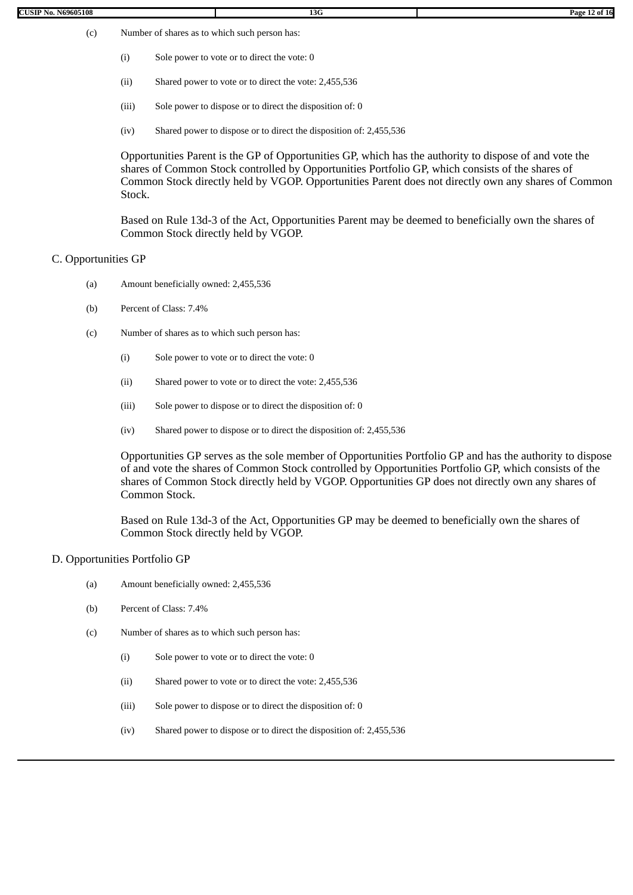- (i) Sole power to vote or to direct the vote: 0
- (ii) Shared power to vote or to direct the vote: 2,455,536
- (iii) Sole power to dispose or to direct the disposition of: 0
- (iv) Shared power to dispose or to direct the disposition of: 2,455,536

Opportunities Parent is the GP of Opportunities GP, which has the authority to dispose of and vote the shares of Common Stock controlled by Opportunities Portfolio GP, which consists of the shares of Common Stock directly held by VGOP. Opportunities Parent does not directly own any shares of Common Stock.

Based on Rule 13d-3 of the Act, Opportunities Parent may be deemed to beneficially own the shares of Common Stock directly held by VGOP.

#### C. Opportunities GP

- (a) Amount beneficially owned: 2,455,536
- (b) Percent of Class: 7.4%
- (c) Number of shares as to which such person has:
	- (i) Sole power to vote or to direct the vote: 0
	- (ii) Shared power to vote or to direct the vote: 2,455,536
	- (iii) Sole power to dispose or to direct the disposition of: 0
	- (iv) Shared power to dispose or to direct the disposition of: 2,455,536

Opportunities GP serves as the sole member of Opportunities Portfolio GP and has the authority to dispose of and vote the shares of Common Stock controlled by Opportunities Portfolio GP, which consists of the shares of Common Stock directly held by VGOP. Opportunities GP does not directly own any shares of Common Stock.

Based on Rule 13d-3 of the Act, Opportunities GP may be deemed to beneficially own the shares of Common Stock directly held by VGOP.

#### D. Opportunities Portfolio GP

- (a) Amount beneficially owned: 2,455,536
- (b) Percent of Class: 7.4%
- (c) Number of shares as to which such person has:
	- (i) Sole power to vote or to direct the vote: 0
	- (ii) Shared power to vote or to direct the vote: 2,455,536
	- (iii) Sole power to dispose or to direct the disposition of: 0
	- (iv) Shared power to dispose or to direct the disposition of: 2,455,536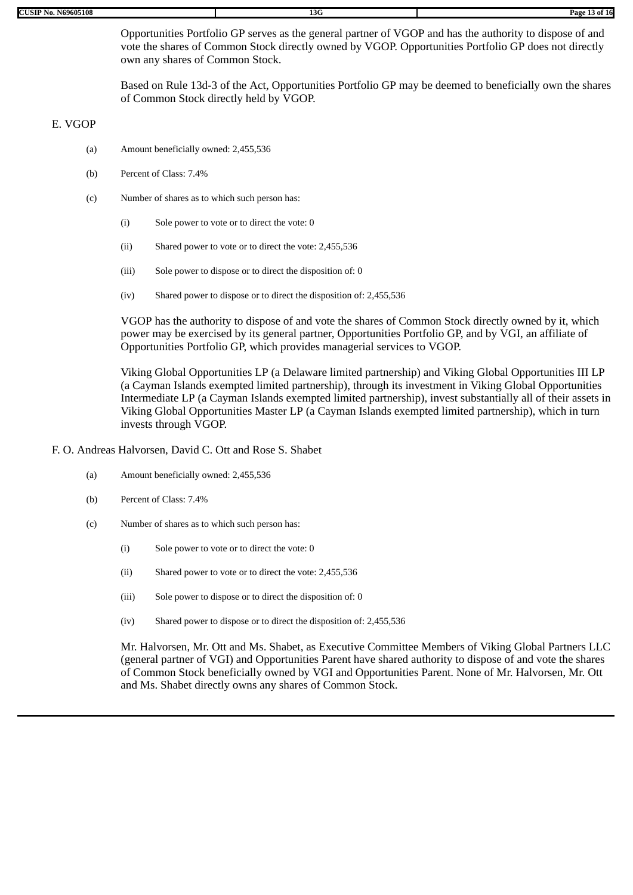Opportunities Portfolio GP serves as the general partner of VGOP and has the authority to dispose of and vote the shares of Common Stock directly owned by VGOP. Opportunities Portfolio GP does not directly own any shares of Common Stock.

Based on Rule 13d-3 of the Act, Opportunities Portfolio GP may be deemed to beneficially own the shares of Common Stock directly held by VGOP.

#### E. VGOP

- (a) Amount beneficially owned: 2,455,536
- (b) Percent of Class: 7.4%
- (c) Number of shares as to which such person has:
	- (i) Sole power to vote or to direct the vote: 0
	- (ii) Shared power to vote or to direct the vote: 2,455,536
	- (iii) Sole power to dispose or to direct the disposition of: 0
	- (iv) Shared power to dispose or to direct the disposition of: 2,455,536

VGOP has the authority to dispose of and vote the shares of Common Stock directly owned by it, which power may be exercised by its general partner, Opportunities Portfolio GP, and by VGI, an affiliate of Opportunities Portfolio GP, which provides managerial services to VGOP.

Viking Global Opportunities LP (a Delaware limited partnership) and Viking Global Opportunities III LP (a Cayman Islands exempted limited partnership), through its investment in Viking Global Opportunities Intermediate LP (a Cayman Islands exempted limited partnership), invest substantially all of their assets in Viking Global Opportunities Master LP (a Cayman Islands exempted limited partnership), which in turn invests through VGOP.

#### F. O. Andreas Halvorsen, David C. Ott and Rose S. Shabet

- (a) Amount beneficially owned: 2,455,536
- (b) Percent of Class: 7.4%
- (c) Number of shares as to which such person has:
	- (i) Sole power to vote or to direct the vote: 0
	- (ii) Shared power to vote or to direct the vote: 2,455,536
	- (iii) Sole power to dispose or to direct the disposition of: 0
	- (iv) Shared power to dispose or to direct the disposition of: 2,455,536

Mr. Halvorsen, Mr. Ott and Ms. Shabet, as Executive Committee Members of Viking Global Partners LLC (general partner of VGI) and Opportunities Parent have shared authority to dispose of and vote the shares of Common Stock beneficially owned by VGI and Opportunities Parent. None of Mr. Halvorsen, Mr. Ott and Ms. Shabet directly owns any shares of Common Stock.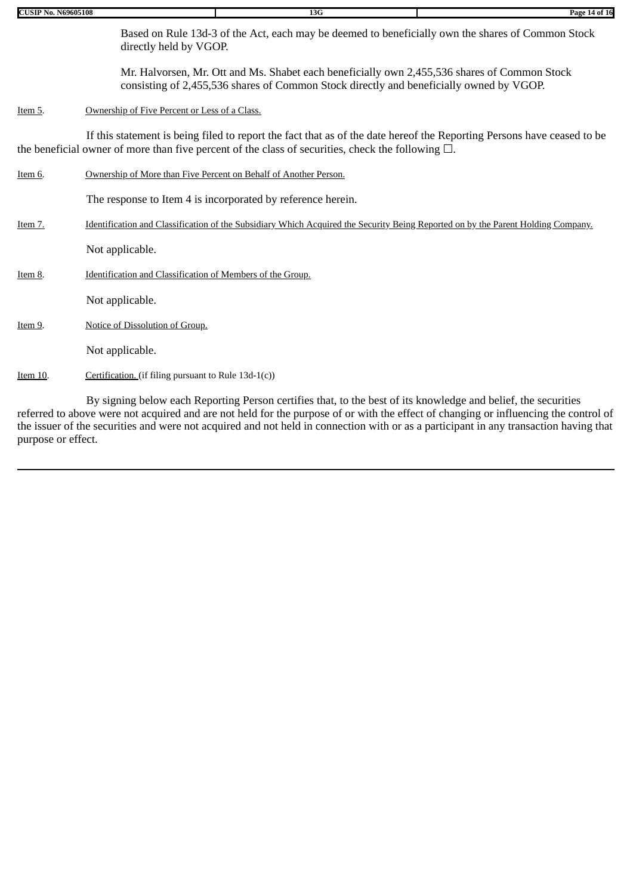| <b>CUSIP No. N69605108</b> |                                                                                                                                                                                                                                   | 13G                                                                                                                                                                                     | Page 14 of 16 |  |  |  |  |  |  |
|----------------------------|-----------------------------------------------------------------------------------------------------------------------------------------------------------------------------------------------------------------------------------|-----------------------------------------------------------------------------------------------------------------------------------------------------------------------------------------|---------------|--|--|--|--|--|--|
|                            | Based on Rule 13d-3 of the Act, each may be deemed to beneficially own the shares of Common Stock<br>directly held by VGOP.                                                                                                       |                                                                                                                                                                                         |               |  |  |  |  |  |  |
|                            |                                                                                                                                                                                                                                   | Mr. Halvorsen, Mr. Ott and Ms. Shabet each beneficially own 2,455,536 shares of Common Stock<br>consisting of 2,455,536 shares of Common Stock directly and beneficially owned by VGOP. |               |  |  |  |  |  |  |
| Item 5.                    |                                                                                                                                                                                                                                   | Ownership of Five Percent or Less of a Class.                                                                                                                                           |               |  |  |  |  |  |  |
|                            | If this statement is being filed to report the fact that as of the date hereof the Reporting Persons have ceased to be<br>the beneficial owner of more than five percent of the class of securities, check the following $\Box$ . |                                                                                                                                                                                         |               |  |  |  |  |  |  |
| Item 6.                    | Ownership of More than Five Percent on Behalf of Another Person.                                                                                                                                                                  |                                                                                                                                                                                         |               |  |  |  |  |  |  |
|                            |                                                                                                                                                                                                                                   | The response to Item 4 is incorporated by reference herein.                                                                                                                             |               |  |  |  |  |  |  |
| Item 7.                    | Identification and Classification of the Subsidiary Which Acquired the Security Being Reported on by the Parent Holding Company.                                                                                                  |                                                                                                                                                                                         |               |  |  |  |  |  |  |
|                            | Not applicable.                                                                                                                                                                                                                   |                                                                                                                                                                                         |               |  |  |  |  |  |  |
| Item 8.                    | Identification and Classification of Members of the Group.                                                                                                                                                                        |                                                                                                                                                                                         |               |  |  |  |  |  |  |
|                            | Not applicable.                                                                                                                                                                                                                   |                                                                                                                                                                                         |               |  |  |  |  |  |  |
| Item 9.                    | Notice of Dissolution of Group.                                                                                                                                                                                                   |                                                                                                                                                                                         |               |  |  |  |  |  |  |
|                            | Not applicable.                                                                                                                                                                                                                   |                                                                                                                                                                                         |               |  |  |  |  |  |  |
| Item 10.                   | Certification. (if filing pursuant to Rule 13d-1(c))                                                                                                                                                                              |                                                                                                                                                                                         |               |  |  |  |  |  |  |
|                            |                                                                                                                                                                                                                                   |                                                                                                                                                                                         |               |  |  |  |  |  |  |

By signing below each Reporting Person certifies that, to the best of its knowledge and belief, the securities referred to above were not acquired and are not held for the purpose of or with the effect of changing or influencing the control of the issuer of the securities and were not acquired and not held in connection with or as a participant in any transaction having that purpose or effect.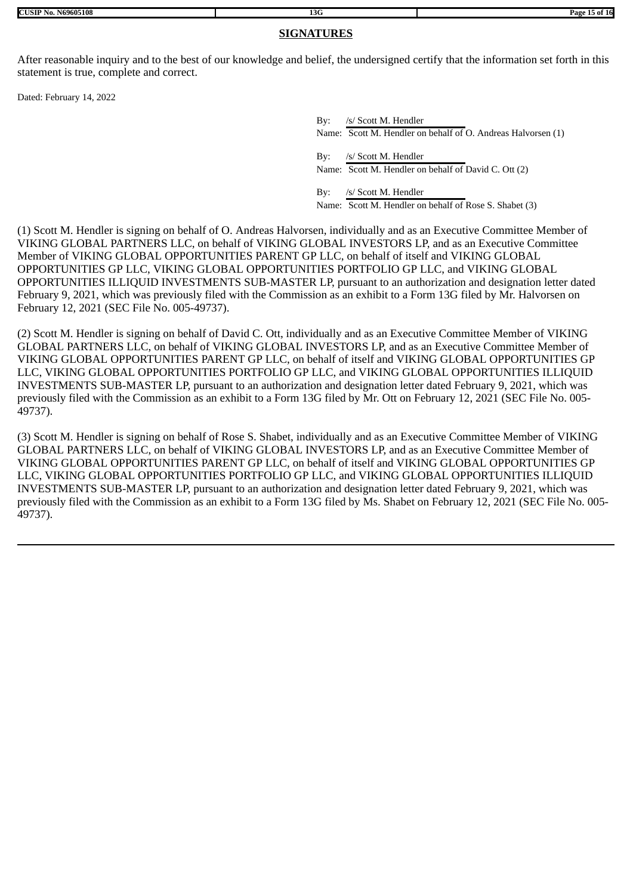## **SIGNATURES**

After reasonable inquiry and to the best of our knowledge and belief, the undersigned certify that the information set forth in this statement is true, complete and correct.

Dated: February 14, 2022

By: /s/ Scott M. Hendler Name: Scott M. Hendler on behalf of O. Andreas Halvorsen (1) By: /s/ Scott M. Hendler Name: Scott M. Hendler on behalf of David C. Ott (2) By: /s/ Scott M. Hendler Name: Scott M. Hendler on behalf of Rose S. Shabet (3)

(1) Scott M. Hendler is signing on behalf of O. Andreas Halvorsen, individually and as an Executive Committee Member of VIKING GLOBAL PARTNERS LLC, on behalf of VIKING GLOBAL INVESTORS LP, and as an Executive Committee Member of VIKING GLOBAL OPPORTUNITIES PARENT GP LLC, on behalf of itself and VIKING GLOBAL OPPORTUNITIES GP LLC, VIKING GLOBAL OPPORTUNITIES PORTFOLIO GP LLC, and VIKING GLOBAL OPPORTUNITIES ILLIQUID INVESTMENTS SUB-MASTER LP, pursuant to an authorization and designation letter dated February 9, 2021, which was previously filed with the Commission as an exhibit to a Form 13G filed by Mr. Halvorsen on February 12, 2021 (SEC File No. 005-49737).

(2) Scott M. Hendler is signing on behalf of David C. Ott, individually and as an Executive Committee Member of VIKING GLOBAL PARTNERS LLC, on behalf of VIKING GLOBAL INVESTORS LP, and as an Executive Committee Member of VIKING GLOBAL OPPORTUNITIES PARENT GP LLC, on behalf of itself and VIKING GLOBAL OPPORTUNITIES GP LLC, VIKING GLOBAL OPPORTUNITIES PORTFOLIO GP LLC, and VIKING GLOBAL OPPORTUNITIES ILLIQUID INVESTMENTS SUB-MASTER LP, pursuant to an authorization and designation letter dated February 9, 2021, which was previously filed with the Commission as an exhibit to a Form 13G filed by Mr. Ott on February 12, 2021 (SEC File No. 005- 49737).

(3) Scott M. Hendler is signing on behalf of Rose S. Shabet, individually and as an Executive Committee Member of VIKING GLOBAL PARTNERS LLC, on behalf of VIKING GLOBAL INVESTORS LP, and as an Executive Committee Member of VIKING GLOBAL OPPORTUNITIES PARENT GP LLC, on behalf of itself and VIKING GLOBAL OPPORTUNITIES GP LLC, VIKING GLOBAL OPPORTUNITIES PORTFOLIO GP LLC, and VIKING GLOBAL OPPORTUNITIES ILLIQUID INVESTMENTS SUB-MASTER LP, pursuant to an authorization and designation letter dated February 9, 2021, which was previously filed with the Commission as an exhibit to a Form 13G filed by Ms. Shabet on February 12, 2021 (SEC File No. 005- 49737).